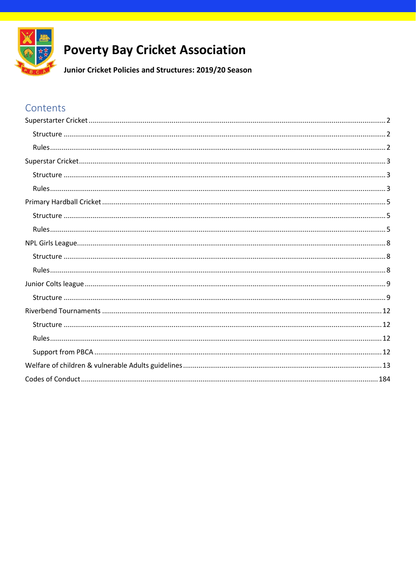

# **Poverty Bay Cricket Association**

Junior Cricket Policies and Structures: 2019/20 Season

# Contents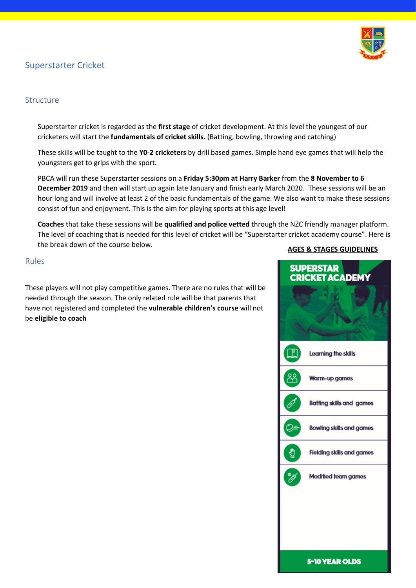# <span id="page-1-0"></span>Superstarter Cricket



#### <span id="page-1-1"></span>Structure

Superstarter cricket is regarded as the **first stage** of cricket development. At this level the youngest of our cricketers will start the **fundamentals of cricket skills**. (Batting, bowling, throwing and catching)

These skills will be taught to the **Y0-2 cricketers** by drill based games. Simple hand eye games that will help the youngsters get to grips with the sport.

PBCA will run these Superstarter sessions on a **Friday 5:30pm at Harry Barker** from the **8 November to 6 December 2019** and then will start up again late January and finish early March 2020. These sessions will be an hour long and will involve at least 2 of the basic fundamentals of the game. We also want to make these sessions consist of fun and enjoyment. This is the aim for playing sports at this age level!

**Coaches** that take these sessions will be **qualified and police vetted** through the NZC friendly manager platform. The level of coaching that is needed for this level of cricket will be "Superstarter cricket academy course". Here is the break down of the course below.

#### <span id="page-1-2"></span>Rules

These players will not play competitive games. There are no rules that will be needed through the season. The only related rule will be that parents that have not registered and completed the **vulnerable children's course** will not be **eligible to coach**

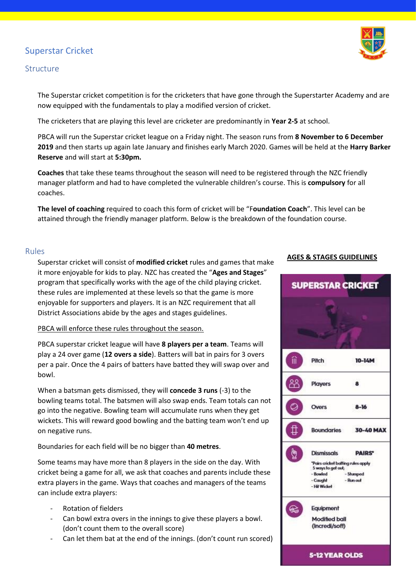# <span id="page-2-0"></span>Superstar Cricket

#### <span id="page-2-1"></span>Structure

The Superstar cricket competition is for the cricketers that have gone through the Superstarter Academy and are now equipped with the fundamentals to play a modified version of cricket.

The cricketers that are playing this level are cricketer are predominantly in **Year 2-5** at school.

PBCA will run the Superstar cricket league on a Friday night. The season runs from **8 November to 6 December 2019** and then starts up again late January and finishes early March 2020. Games will be held at the **Harry Barker Reserve** and will start at **5:30pm.**

**Coaches** that take these teams throughout the season will need to be registered through the NZC friendly manager platform and had to have completed the vulnerable children's course. This is **compulsory** for all coaches.

**The level of coaching** required to coach this form of cricket will be "F**oundation Coach**". This level can be attained through the friendly manager platform. Below is the breakdown of the foundation course.

#### <span id="page-2-2"></span>Rules

Superstar cricket will consist of **modified cricket** rules and games that make it more enjoyable for kids to play. NZC has created the "**Ages and Stages**" program that specifically works with the age of the child playing cricket. these rules are implemented at these levels so that the game is more enjoyable for supporters and players. It is an NZC requirement that all District Associations abide by the ages and stages guidelines.

PBCA will enforce these rules throughout the season.

PBCA superstar cricket league will have **8 players per a team**. Teams will play a 24 over game (**12 overs a side**). Batters will bat in pairs for 3 overs per a pair. Once the 4 pairs of batters have batted they will swap over and bowl.

When a batsman gets dismissed, they will **concede 3 runs** (-3) to the bowling teams total. The batsmen will also swap ends. Team totals can not go into the negative. Bowling team will accumulate runs when they get wickets. This will reward good bowling and the batting team won't end up on negative runs.

Boundaries for each field will be no bigger than **40 metres**.

Some teams may have more than 8 players in the side on the day. With cricket being a game for all, we ask that coaches and parents include these extra players in the game. Ways that coaches and managers of the teams can include extra players:

- Rotation of fielders
- Can bowl extra overs in the innings to give these players a bowl. (don't count them to the overall score)
- Can let them bat at the end of the innings. (don't count run scored)

#### **AGES & STAGES GUIDELINES**



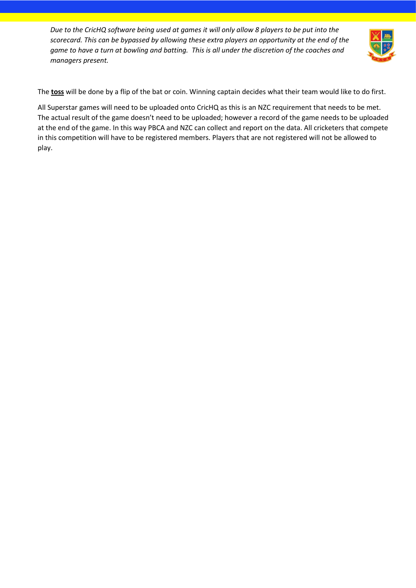*Due to the CricHQ software being used at games it will only allow 8 players to be put into the scorecard. This can be bypassed by allowing these extra players an opportunity at the end of the game to have a turn at bowling and batting. This is all under the discretion of the coaches and managers present.* 



The **toss** will be done by a flip of the bat or coin. Winning captain decides what their team would like to do first.

All Superstar games will need to be uploaded onto CricHQ as this is an NZC requirement that needs to be met. The actual result of the game doesn't need to be uploaded; however a record of the game needs to be uploaded at the end of the game. In this way PBCA and NZC can collect and report on the data. All cricketers that compete in this competition will have to be registered members. Players that are not registered will not be allowed to play.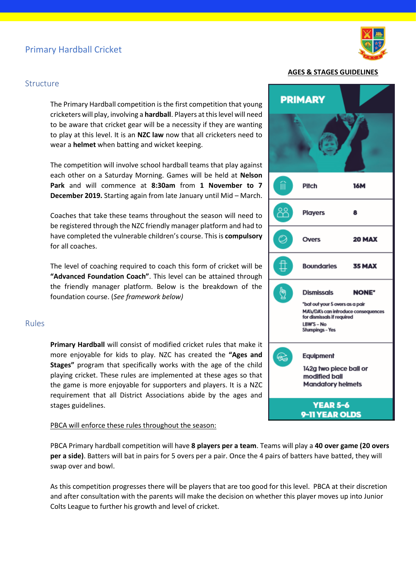# <span id="page-4-0"></span>Primary Hardball Cricket



#### <span id="page-4-1"></span>**Structure**

The Primary Hardball competition is the first competition that young cricketers will play, involving a **hardball**. Players at this level will need to be aware that cricket gear will be a necessity if they are wanting to play at this level. It is an **NZC law** now that all cricketers need to wear a **helmet** when batting and wicket keeping.

The competition will involve school hardball teams that play against each other on a Saturday Morning. Games will be held at **Nelson Park** and will commence at **8:30am** from **1 November to 7 December 2019.** Starting again from late January until Mid – March.

Coaches that take these teams throughout the season will need to be registered through the NZC friendly manager platform and had to have completed the vulnerable children's course. This is **compulsory** for all coaches.

The level of coaching required to coach this form of cricket will be **"Advanced Foundation Coach"**. This level can be attained through the friendly manager platform. Below is the breakdown of the foundation course. (*See framework below)*

#### <span id="page-4-2"></span>Rules

**Primary Hardball** will consist of modified cricket rules that make it more enjoyable for kids to play. NZC has created the **"Ages and Stages"** program that specifically works with the age of the child playing cricket. These rules are implemented at these ages so that the game is more enjoyable for supporters and players. It is a NZC requirement that all District Associations abide by the ages and stages guidelines.

#### PBCA will enforce these rules throughout the season:

PBCA Primary hardball competition will have **8 players per a team**. Teams will play a **40 over game (20 overs per a side)**. Batters will bat in pairs for 5 overs per a pair. Once the 4 pairs of batters have batted, they will swap over and bowl.

As this competition progresses there will be players that are too good for this level. PBCA at their discretion and after consultation with the parents will make the decision on whether this player moves up into Junior Colts League to further his growth and level of cricket.

|                        | <b>AGES &amp; STAGES GUIDELINES</b>                                                                                                                         |        |
|------------------------|-------------------------------------------------------------------------------------------------------------------------------------------------------------|--------|
|                        | <b>PRIMARY</b>                                                                                                                                              |        |
|                        |                                                                                                                                                             |        |
| íiì                    | Pitch                                                                                                                                                       | 16M    |
| ಜಿ                     | <b>Players</b>                                                                                                                                              | 8      |
| O                      | <b>Overs</b>                                                                                                                                                | 20 MAX |
|                        | <b>Boundaries</b>                                                                                                                                           | 35 MAX |
|                        | <b>Dismissals</b><br>*bat out your 5 overs as a pair<br>MA's/DA's can introduce consequences<br>for dismissals if required<br>LBW'S - No<br>Stumpings - Yes | NONE*  |
| $\widehat{\mathbb{G}}$ | Equipment<br>142g two piece ball or<br>modified ball<br><b>Mandatory helmets</b>                                                                            |        |
|                        | <b>YEAR 5-6</b><br>0-11 VEAD OI DS                                                                                                                          |        |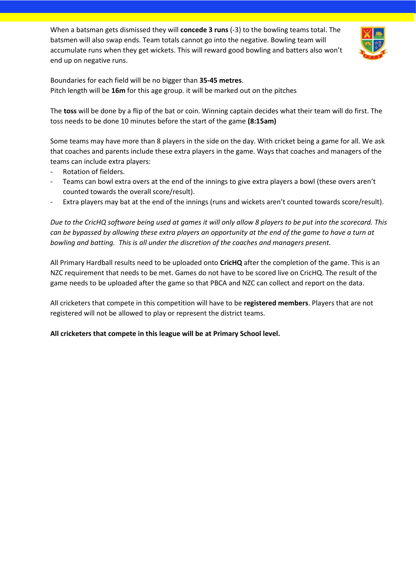When a batsman gets dismissed they will **concede 3 runs** (-3) to the bowling teams total. The batsmen will also swap ends. Team totals cannot go into the negative. Bowling team will accumulate runs when they get wickets. This will reward good bowling and batters also won't end up on negative runs.



Boundaries for each field will be no bigger than **35-45 metres**. Pitch length will be **16m** for this age group. it will be marked out on the pitches

The **toss** will be done by a flip of the bat or coin. Winning captain decides what their team will do first. The toss needs to be done 10 minutes before the start of the game **(8:15am)**

Some teams may have more than 8 players in the side on the day. With cricket being a game for all. We ask that coaches and parents include these extra players in the game. Ways that coaches and managers of the teams can include extra players:

- Rotation of fielders.
- Teams can bowl extra overs at the end of the innings to give extra players a bowl (these overs aren't counted towards the overall score/result).
- Extra players may bat at the end of the innings (runs and wickets aren't counted towards score/result).

*Due to the CricHQ software being used at games it will only allow 8 players to be put into the scorecard. This can be bypassed by allowing these extra players an opportunity at the end of the game to have a turn at bowling and batting. This is all under the discretion of the coaches and managers present.* 

All Primary Hardball results need to be uploaded onto **CricHQ** after the completion of the game. This is an NZC requirement that needs to be met. Games do not have to be scored live on CricHQ. The result of the game needs to be uploaded after the game so that PBCA and NZC can collect and report on the data.

All cricketers that compete in this competition will have to be **registered members**. Players that are not registered will not be allowed to play or represent the district teams.

**All cricketers that compete in this league will be at Primary School level.**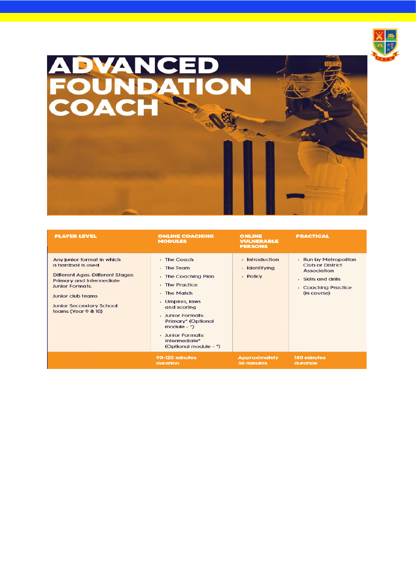

# ADVANCED<br>FOUNDATION<br>COACH

<span id="page-6-0"></span>

| <b>PLAYER LEVEL</b>                                                                                                                                                                                                             | <b>ONLINE COACHING</b><br><b>MODULES</b>                                                                                                                                                                                                          | <b>ONLINE</b><br><b>VULNERABLE</b><br><b>PERSONS</b> | <b>PRACTICAL</b>                                                                                                                    |
|---------------------------------------------------------------------------------------------------------------------------------------------------------------------------------------------------------------------------------|---------------------------------------------------------------------------------------------------------------------------------------------------------------------------------------------------------------------------------------------------|------------------------------------------------------|-------------------------------------------------------------------------------------------------------------------------------------|
| Any junior format in which<br>a hardball is used.<br><b>Different Ages-Different Stages</b><br>Primary and Intermediate<br><b>Junior Formats.</b><br>Junior club teams<br><b>Junior Secondary School</b><br>teams (Year 9 & 10) | - The Coach<br>- The Team<br>- The Coaching Plan<br>- The Practice<br>- The Match<br>- Umpires, laws<br>and scoring<br>- Junior Formats:<br>Primary* (Optional<br>module $ \ast$ )<br>- Junior Formats:<br>Intermediate*<br>(Optional module - *) | - Introduction<br>- Identifying<br>- Policy          | - Run by Metropolitan<br><b>Club or District</b><br><b>Association</b><br>- Skills and drills<br>- Coaching Practice<br>(in course) |
|                                                                                                                                                                                                                                 | 90-120 minutes<br>duration                                                                                                                                                                                                                        | <b>Approximately</b><br>30 minutes                   | 180 minutes<br>duration                                                                                                             |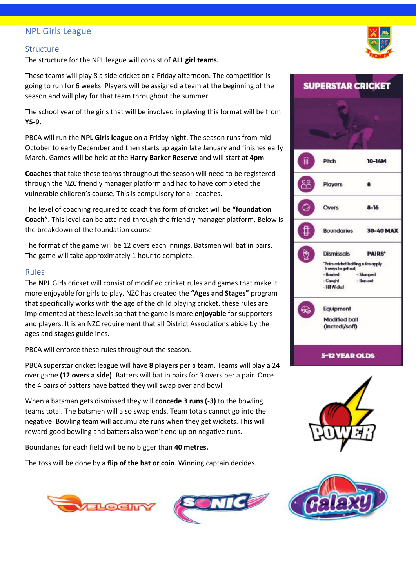#### NPL Girls League

#### <span id="page-7-0"></span>Structure

The structure for the NPL league will consist of **ALL girl teams.** 

These teams will play 8 a side cricket on a Friday afternoon. The competition is going to run for 6 weeks. Players will be assigned a team at the beginning of the season and will play for that team throughout the summer.

The school year of the girls that will be involved in playing this format will be from **Y5-9.** 

PBCA will run the **NPL Girls league** on a Friday night. The season runs from mid-October to early December and then starts up again late January and finishes early March. Games will be held at the **Harry Barker Reserve** and will start at **4pm** 

**Coaches** that take these teams throughout the season will need to be registered through the NZC friendly manager platform and had to have completed the vulnerable children's course. This is compulsory for all coaches.

The level of coaching required to coach this form of cricket will be **"foundation Coach".** This level can be attained through the friendly manager platform. Below is the breakdown of the foundation course.

The format of the game will be 12 overs each innings. Batsmen will bat in pairs. The game will take approximately 1 hour to complete.

#### <span id="page-7-1"></span>Rules

The NPL Girls cricket will consist of modified cricket rules and games that make it more enjoyable for girls to play. NZC has created the **"Ages and Stages"** program that specifically works with the age of the child playing cricket. these rules are implemented at these levels so that the game is more **enjoyable** for supporters and players. It is an NZC requirement that all District Associations abide by the ages and stages guidelines.

#### PBCA will enforce these rules throughout the season.

PBCA superstar cricket league will have **8 players** per a team. Teams will play a 24 over game **(12 overs a side)**. Batters will bat in pairs for 3 overs per a pair. Once the 4 pairs of batters have batted they will swap over and bowl.

When a batsman gets dismissed they will **concede 3 runs (-3)** to the bowling teams total. The batsmen will also swap ends. Team totals cannot go into the negative. Bowling team will accumulate runs when they get wickets. This will reward good bowling and batters also won't end up on negative runs.

Boundaries for each field will be no bigger than **40 metres.**

The toss will be done by a **flip of the bat or coin**. Winning captain decides.











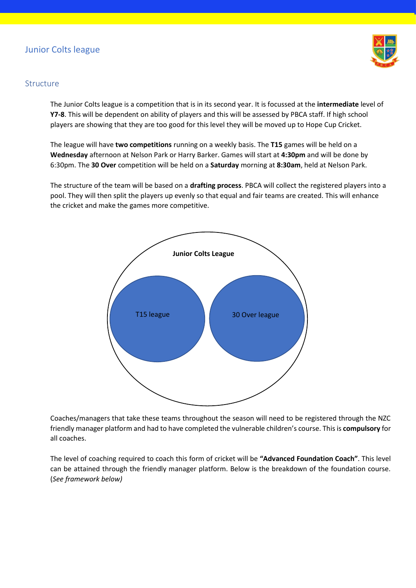# <span id="page-8-0"></span>Junior Colts league



#### <span id="page-8-1"></span>**Structure**

The Junior Colts league is a competition that is in its second year. It is focussed at the **intermediate** level of **Y7-8**. This will be dependent on ability of players and this will be assessed by PBCA staff. If high school players are showing that they are too good for this level they will be moved up to Hope Cup Cricket.

The league will have **two competitions** running on a weekly basis. The **T15** games will be held on a **Wednesday** afternoon at Nelson Park or Harry Barker. Games will start at **4:30pm** and will be done by 6:30pm. The **30 Over** competition will be held on a **Saturday** morning at **8:30am**, held at Nelson Park.

The structure of the team will be based on a **drafting process**. PBCA will collect the registered players into a pool. They will then split the players up evenly so that equal and fair teams are created. This will enhance the cricket and make the games more competitive.



Coaches/managers that take these teams throughout the season will need to be registered through the NZC friendly manager platform and had to have completed the vulnerable children's course. This is **compulsory** for all coaches.

The level of coaching required to coach this form of cricket will be **"Advanced Foundation Coach"**. This level can be attained through the friendly manager platform. Below is the breakdown of the foundation course. (*See framework below)*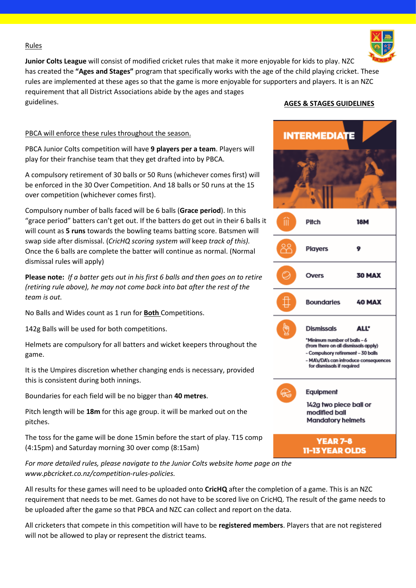#### Rules



#### PBCA will enforce these rules throughout the season.

PBCA Junior Colts competition will have **9 players per a team**. Players will play for their franchise team that they get drafted into by PBCA.

A compulsory retirement of 30 balls or 50 Runs (whichever comes first) will be enforced in the 30 Over Competition. And 18 balls or 50 runs at the 15 over competition (whichever comes first).

Compulsory number of balls faced will be 6 balls (**Grace period**). In this "grace period" batters can't get out. If the batters do get out in their 6 balls it will count as **5 runs** towards the bowling teams batting score. Batsmen will swap side after dismissal. (*CricHQ scoring system will* keep *track of this).*  Once the 6 balls are complete the batter will continue as normal. (Normal dismissal rules will apply)

**Please note:** *If a batter gets out in his first 6 balls and then goes on to retire (retiring rule above), he may not come back into bat after the rest of the team is out.* 

No Balls and Wides count as 1 run for **Both** Competitions.

142g Balls will be used for both competitions.

Helmets are compulsory for all batters and wicket keepers throughout the game.

It is the Umpires discretion whether changing ends is necessary, provided this is consistent during both innings.

Boundaries for each field will be no bigger than **40 metres**.

Pitch length will be **18m** for this age group. it will be marked out on the pitches.

The toss for the game will be done 15min before the start of play. T15 comp (4:15pm) and Saturday morning 30 over comp (8:15am)

*For more detailed rules, please navigate to the Junior Colts website home page on the [www.pbcricket.co.nz/competition-rules-policies.](http://www.pbcricket.co.nz/competition-rules-policies)* 

All results for these games will need to be uploaded onto **CricHQ** after the completion of a game. This is an NZC requirement that needs to be met. Games do not have to be scored live on CricHQ. The result of the game needs to be uploaded after the game so that PBCA and NZC can collect and report on the data.

All cricketers that compete in this competition will have to be **registered members**. Players that are not registered will not be allowed to play or represent the district teams.

#### **AGES & STAGES GUIDELINES**



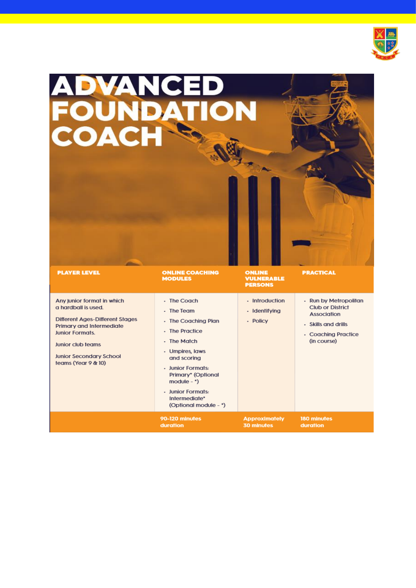

| <b>ADVANCED<br/>FOUNDATION<br/>COACH</b>                                                                                                                                                                                        |                                                                                                                                                                                                                                                |                                               |                                                                                                                              |
|---------------------------------------------------------------------------------------------------------------------------------------------------------------------------------------------------------------------------------|------------------------------------------------------------------------------------------------------------------------------------------------------------------------------------------------------------------------------------------------|-----------------------------------------------|------------------------------------------------------------------------------------------------------------------------------|
| <b>PLAYER LEVEL</b>                                                                                                                                                                                                             | <b>ONLINE COACHING</b><br><b>MODULES</b>                                                                                                                                                                                                       | ONLINE<br><b>VULNERABLE</b><br><b>PERSONS</b> | <b>PRACTICAL</b>                                                                                                             |
| Any junior format in which<br>a hardball is used.<br><b>Different Ages-Different Stages</b><br>Primary and Intermediate<br><b>Junior Formats.</b><br>Junior club teams<br><b>Junior Secondary School</b><br>teams (Year 9 & 10) | - The Coach<br>- The Team<br>- The Coaching Plan<br>- The Practice<br>- The Match<br>- Umpires, laws<br>and scoring<br>- Junior Formats:<br>Primary* (Optional<br>$module -^*)$<br>· Junior Formats:<br>Intermediate*<br>(Optional module - *) | - Introduction<br>- Identifying<br>- Policy   | - Run by Metropolitan<br><b>Club or District</b><br>Association<br>- Skills and drills<br>- Coaching Practice<br>(in course) |
|                                                                                                                                                                                                                                 | 90-120 minutes<br>duration                                                                                                                                                                                                                     | <b>Approximately</b><br><b>30 minutes</b>     | 180 minutes<br>duration                                                                                                      |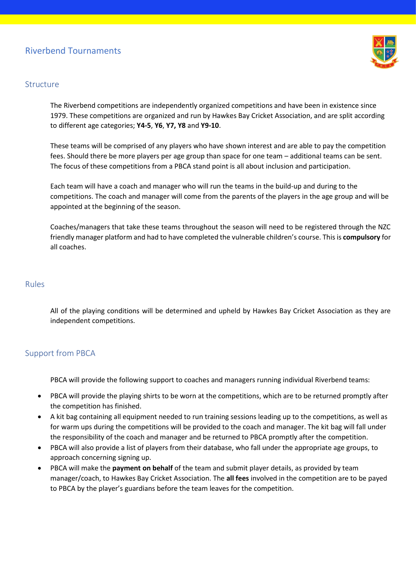# <span id="page-11-0"></span>Riverbend Tournaments



#### <span id="page-11-1"></span>Structure

The Riverbend competitions are independently organized competitions and have been in existence since 1979. These competitions are organized and run by Hawkes Bay Cricket Association, and are split according to different age categories; **Y4-5**, **Y6**, **Y7, Y8** and **Y9-10**.

These teams will be comprised of any players who have shown interest and are able to pay the competition fees. Should there be more players per age group than space for one team – additional teams can be sent. The focus of these competitions from a PBCA stand point is all about inclusion and participation.

Each team will have a coach and manager who will run the teams in the build-up and during to the competitions. The coach and manager will come from the parents of the players in the age group and will be appointed at the beginning of the season.

Coaches/managers that take these teams throughout the season will need to be registered through the NZC friendly manager platform and had to have completed the vulnerable children's course. This is **compulsory** for all coaches.

#### <span id="page-11-2"></span>Rules

All of the playing conditions will be determined and upheld by Hawkes Bay Cricket Association as they are independent competitions.

# <span id="page-11-3"></span>Support from PBCA

PBCA will provide the following support to coaches and managers running individual Riverbend teams:

- PBCA will provide the playing shirts to be worn at the competitions, which are to be returned promptly after the competition has finished.
- A kit bag containing all equipment needed to run training sessions leading up to the competitions, as well as for warm ups during the competitions will be provided to the coach and manager. The kit bag will fall under the responsibility of the coach and manager and be returned to PBCA promptly after the competition.
- PBCA will also provide a list of players from their database, who fall under the appropriate age groups, to approach concerning signing up.
- PBCA will make the **payment on behalf** of the team and submit player details, as provided by team manager/coach, to Hawkes Bay Cricket Association. The **all fees** involved in the competition are to be payed to PBCA by the player's guardians before the team leaves for the competition.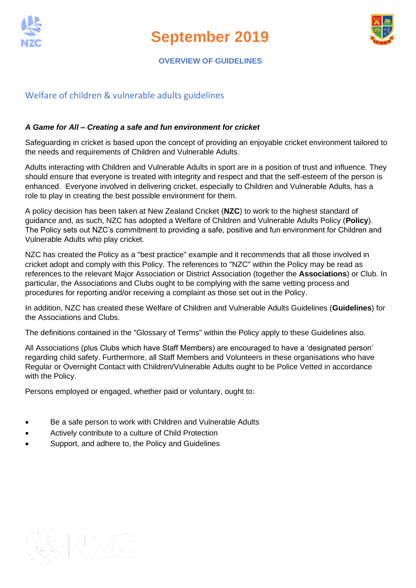

**September 2019**



#### **OVERVIEW OF GUIDELINES**

# <span id="page-12-0"></span>Welfare of children & vulnerable adults guidelines

#### *A Game for All – Creating a safe and fun environment for cricket*

Safeguarding in cricket is based upon the concept of providing an enjoyable cricket environment tailored to the needs and requirements of Children and Vulnerable Adults.

Adults interacting with Children and Vulnerable Adults in sport are in a position of trust and influence. They should ensure that everyone is treated with integrity and respect and that the self-esteem of the person is enhanced. Everyone involved in delivering cricket, especially to Children and Vulnerable Adults, has a role to play in creating the best possible environment for them.

A policy decision has been taken at New Zealand Cricket (**NZC**) to work to the highest standard of guidance and, as such, NZC has adopted a Welfare of Children and Vulnerable Adults Policy (**Policy**). The Policy sets out NZC's commitment to providing a safe, positive and fun environment for Children and Vulnerable Adults who play cricket.

NZC has created the Policy as a "best practice" example and it recommends that all those involved in cricket adopt and comply with this Policy. The references to "NZC" within the Policy may be read as references to the relevant Major Association or District Association (together the **Associations**) or Club. In particular, the Associations and Clubs ought to be complying with the same vetting process and procedures for reporting and/or receiving a complaint as those set out in the Policy.

In addition, NZC has created these Welfare of Children and Vulnerable Adults Guidelines (**Guidelines**) for the Associations and Clubs.

The definitions contained in the "Glossary of Terms" within the Policy apply to these Guidelines also.

All Associations (plus Clubs which have Staff Members) are encouraged to have a 'designated person' regarding child safety. Furthermore, all Staff Members and Volunteers in these organisations who have Regular or Overnight Contact with Children/Vulnerable Adults ought to be Police Vetted in accordance with the Policy.

Persons employed or engaged, whether paid or voluntary, ought to:

- Be a safe person to work with Children and Vulnerable Adults
- Actively contribute to a culture of Child Protection
- Support, and adhere to, the Policy and Guidelines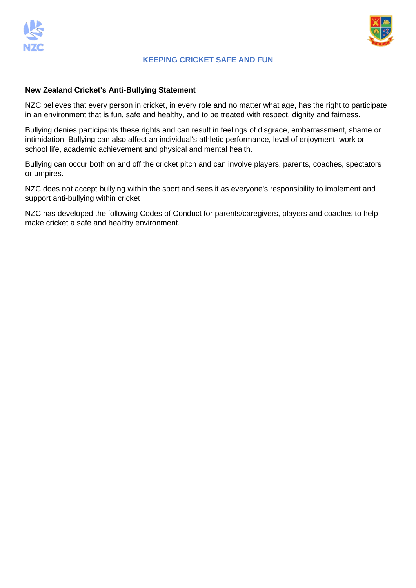



#### **KEEPING CRICKET SAFE AND FUN**

#### **New Zealand Cricket's Anti-Bullying Statement**

NZC believes that every person in cricket, in every role and no matter what age, has the right to participate in an environment that is fun, safe and healthy, and to be treated with respect, dignity and fairness.

Bullying denies participants these rights and can result in feelings of disgrace, embarrassment, shame or intimidation. Bullying can also affect an individual's athletic performance, level of enjoyment, work or school life, academic achievement and physical and mental health.

Bullying can occur both on and off the cricket pitch and can involve players, parents, coaches, spectators or umpires.

NZC does not accept bullying within the sport and sees it as everyone's responsibility to implement and support anti-bullying within cricket

NZC has developed the following Codes of Conduct for parents/caregivers, players and coaches to help make cricket a safe and healthy environment.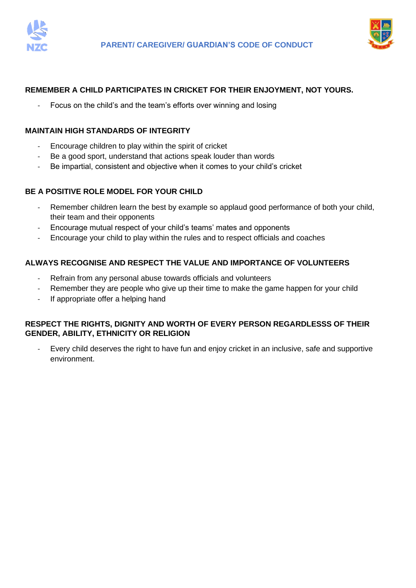



#### **REMEMBER A CHILD PARTICIPATES IN CRICKET FOR THEIR ENJOYMENT, NOT YOURS.**

Focus on the child's and the team's efforts over winning and losing

#### **MAINTAIN HIGH STANDARDS OF INTEGRITY**

- Encourage children to play within the spirit of cricket
- Be a good sport, understand that actions speak louder than words
- Be impartial, consistent and objective when it comes to your child's cricket

#### **BE A POSITIVE ROLE MODEL FOR YOUR CHILD**

- Remember children learn the best by example so applaud good performance of both your child, their team and their opponents
- Encourage mutual respect of your child's teams' mates and opponents
- Encourage your child to play within the rules and to respect officials and coaches

#### **ALWAYS RECOGNISE AND RESPECT THE VALUE AND IMPORTANCE OF VOLUNTEERS**

- Refrain from any personal abuse towards officials and volunteers
- Remember they are people who give up their time to make the game happen for your child
- If appropriate offer a helping hand

#### **RESPECT THE RIGHTS, DIGNITY AND WORTH OF EVERY PERSON REGARDLESSS OF THEIR GENDER, ABILITY, ETHNICITY OR RELIGION**

Every child deserves the right to have fun and enjoy cricket in an inclusive, safe and supportive environment.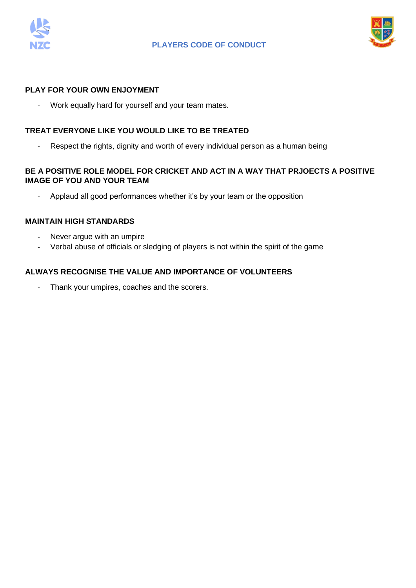



#### **PLAY FOR YOUR OWN ENJOYMENT**

- Work equally hard for yourself and your team mates.

#### **TREAT EVERYONE LIKE YOU WOULD LIKE TO BE TREATED**

- Respect the rights, dignity and worth of every individual person as a human being

#### **BE A POSITIVE ROLE MODEL FOR CRICKET AND ACT IN A WAY THAT PRJOECTS A POSITIVE IMAGE OF YOU AND YOUR TEAM**

- Applaud all good performances whether it's by your team or the opposition

#### **MAINTAIN HIGH STANDARDS**

- Never argue with an umpire
- Verbal abuse of officials or sledging of players is not within the spirit of the game

#### **ALWAYS RECOGNISE THE VALUE AND IMPORTANCE OF VOLUNTEERS**

- Thank your umpires, coaches and the scorers.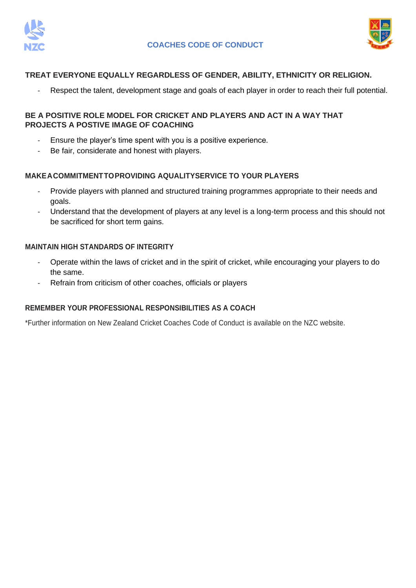



#### **TREAT EVERYONE EQUALLY REGARDLESS OF GENDER, ABILITY, ETHNICITY OR RELIGION.**

Respect the talent, development stage and goals of each player in order to reach their full potential.

#### **BE A POSITIVE ROLE MODEL FOR CRICKET AND PLAYERS AND ACT IN A WAY THAT PROJECTS A POSTIVE IMAGE OF COACHING**

- Ensure the player's time spent with you is a positive experience.
- Be fair, considerate and honest with players.

#### **MAKEACOMMITMENTTOPROVIDING AQUALITYSERVICE TO YOUR PLAYERS**

- Provide players with planned and structured training programmes appropriate to their needs and goals.
- Understand that the development of players at any level is a long-term process and this should not be sacrificed for short term gains.

#### **MAINTAIN HIGH STANDARDS OF INTEGRITY**

- Operate within the laws of cricket and in the spirit of cricket, while encouraging your players to do the same.
- Refrain from criticism of other coaches, officials or players

#### **REMEMBER YOUR PROFESSIONAL RESPONSIBILITIES AS A COACH**

\*Further information on New Zealand Cricket Coaches Code of Conduct is available on the NZC website.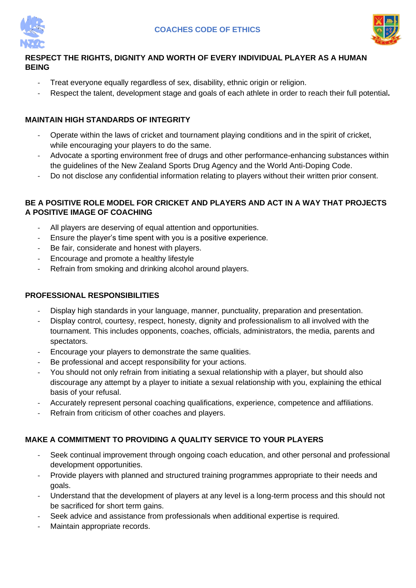



# <span id="page-17-0"></span>**RESPECT THE RIGHTS, DIGNITY AND WORTH OF EVERY INDIVIDUAL PLAYER AS A HUMAN BEING**

- Treat everyone equally regardless of sex, disability, ethnic origin or religion.
- Respect the talent, development stage and goals of each athlete in order to reach their full potential**.**

# **MAINTAIN HIGH STANDARDS OF INTEGRITY**

- Operate within the laws of cricket and tournament playing conditions and in the spirit of cricket, while encouraging your players to do the same.
- Advocate a sporting environment free of drugs and other performance-enhancing substances within the guidelines of the New Zealand Sports Drug Agency and the World Anti-Doping Code.
- Do not disclose any confidential information relating to players without their written prior consent.

#### **BE A POSITIVE ROLE MODEL FOR CRICKET AND PLAYERS AND ACT IN A WAY THAT PROJECTS A POSITIVE IMAGE OF COACHING**

- All players are deserving of equal attention and opportunities.
- Ensure the player's time spent with you is a positive experience.
- Be fair, considerate and honest with players.
- Encourage and promote a healthy lifestyle
- Refrain from smoking and drinking alcohol around players.

# **PROFESSIONAL RESPONSIBILITIES**

- Display high standards in your language, manner, punctuality, preparation and presentation.
- Display control, courtesy, respect, honesty, dignity and professionalism to all involved with the tournament. This includes opponents, coaches, officials, administrators, the media, parents and spectators.
- Encourage your players to demonstrate the same qualities.
- Be professional and accept responsibility for your actions.
- You should not only refrain from initiating a sexual relationship with a player, but should also discourage any attempt by a player to initiate a sexual relationship with you, explaining the ethical basis of your refusal.
- Accurately represent personal coaching qualifications, experience, competence and affiliations.
- Refrain from criticism of other coaches and players.

# **MAKE A COMMITMENT TO PROVIDING A QUALITY SERVICE TO YOUR PLAYERS**

- Seek continual improvement through ongoing coach education, and other personal and professional development opportunities.
- Provide players with planned and structured training programmes appropriate to their needs and goals.
- Understand that the development of players at any level is a long-term process and this should not be sacrificed for short term gains.
- Seek advice and assistance from professionals when additional expertise is required.
- Maintain appropriate records.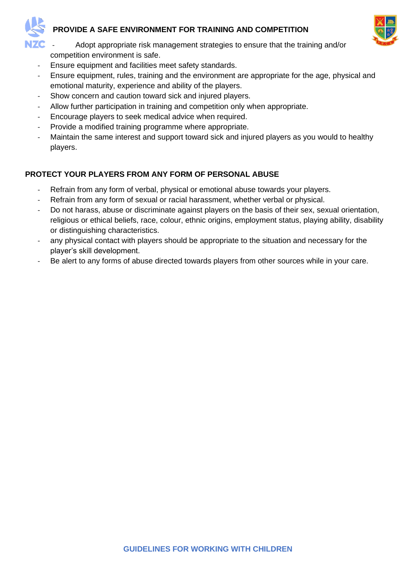



- Adopt appropriate risk management strategies to ensure that the training and/or competition environment is safe.
- Ensure equipment and facilities meet safety standards.
- Ensure equipment, rules, training and the environment are appropriate for the age, physical and emotional maturity, experience and ability of the players.
- Show concern and caution toward sick and injured players.
- Allow further participation in training and competition only when appropriate.
- Encourage players to seek medical advice when required.
- Provide a modified training programme where appropriate.
- Maintain the same interest and support toward sick and injured players as you would to healthy players.

# **PROTECT YOUR PLAYERS FROM ANY FORM OF PERSONAL ABUSE**

- Refrain from any form of verbal, physical or emotional abuse towards your players.
- Refrain from any form of sexual or racial harassment, whether verbal or physical.
- Do not harass, abuse or discriminate against players on the basis of their sex, sexual orientation, religious or ethical beliefs, race, colour, ethnic origins, employment status, playing ability, disability or distinguishing characteristics.
- any physical contact with players should be appropriate to the situation and necessary for the player's skill development.
- Be alert to any forms of abuse directed towards players from other sources while in your care.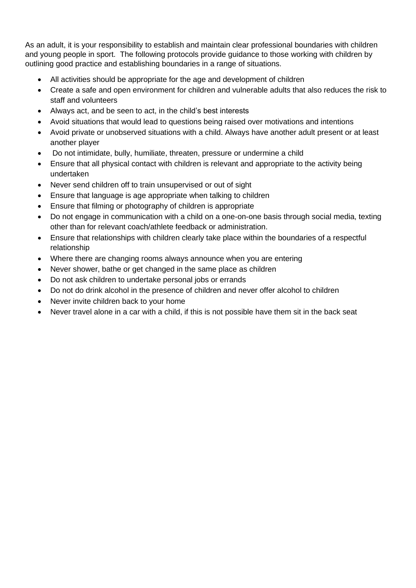As an adult, it is your responsibility to establish and maintain clear professional boundaries with children and young people in sport. The following protocols provide guidance to those working with children by outlining good practice and establishing boundaries in a range of situations.

- All activities should be appropriate for the age and development of children
- Create a safe and open environment for children and vulnerable adults that also reduces the risk to staff and volunteers
- Always act, and be seen to act, in the child's best interests
- Avoid situations that would lead to questions being raised over motivations and intentions
- Avoid private or unobserved situations with a child. Always have another adult present or at least another player
- Do not intimidate, bully, humiliate, threaten, pressure or undermine a child
- Ensure that all physical contact with children is relevant and appropriate to the activity being undertaken
- Never send children off to train unsupervised or out of sight
- Ensure that language is age appropriate when talking to children
- Ensure that filming or photography of children is appropriate
- Do not engage in communication with a child on a one-on-one basis through social media, texting other than for relevant coach/athlete feedback or administration.
- Ensure that relationships with children clearly take place within the boundaries of a respectful relationship
- Where there are changing rooms always announce when you are entering
- Never shower, bathe or get changed in the same place as children
- Do not ask children to undertake personal jobs or errands
- Do not do drink alcohol in the presence of children and never offer alcohol to children
- Never invite children back to your home
- Never travel alone in a car with a child, if this is not possible have them sit in the back seat